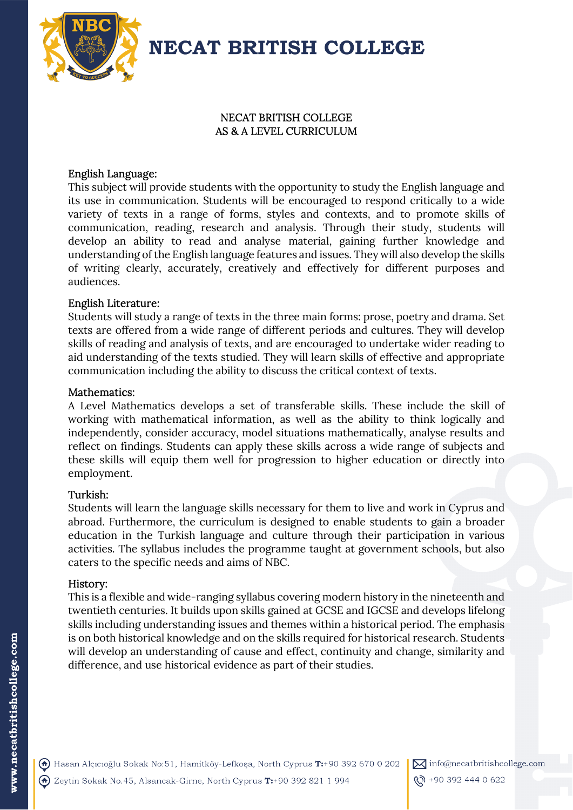

**NECAT BRITISH COLLEGE** 

# NECAT BRITISH COLLEGE AS & A LEVEL CURRICULUM

## English Language:

This subject will provide students with the opportunity to study the English language and its use in communication. Students will be encouraged to respond critically to a wide variety of texts in a range of forms, styles and contexts, and to promote skills of communication, reading, research and analysis. Through their study, students will develop an ability to read and analyse material, gaining further knowledge and understanding of the English language features and issues. They will also develop the skills of writing clearly, accurately, creatively and effectively for different purposes and audiences.

## English Literature:

Students will study a range of texts in the three main forms: prose, poetry and drama. Set texts are offered from a wide range of different periods and cultures. They will develop skills of reading and analysis of texts, and are encouraged to undertake wider reading to aid understanding of the texts studied. They will learn skills of effective and appropriate communication including the ability to discuss the critical context of texts.

## Mathematics:

A Level Mathematics develops a set of transferable skills. These include the skill of working with mathematical information, as well as the ability to think logically and independently, consider accuracy, model situations mathematically, analyse results and reflect on findings. Students can apply these skills across a wide range of subjects and these skills will equip them well for progression to higher education or directly into employment.

## Turkish:

Students will learn the language skills necessary for them to live and work in Cyprus and abroad. Furthermore, the curriculum is designed to enable students to gain a broader education in the Turkish language and culture through their participation in various activities. The syllabus includes the programme taught at government schools, but also caters to the specific needs and aims of NBC.

## History:

This is a flexible and wide-ranging syllabus covering modern history in the nineteenth and twentieth centuries. It builds upon skills gained at GCSE and IGCSE and develops lifelong skills including understanding issues and themes within a historical period. The emphasis is on both historical knowledge and on the skills required for historical research. Students will develop an understanding of cause and effect, continuity and change, similarity and difference, and use historical evidence as part of their studies.

A Hasan Alçıcıoğlu Sokak No:51, Hamitköy-Lefkoşa, North Cyprus T:+90 392 670 0 202 A Zeytin Sokak No.45, Alsancak-Girne, North Cyprus T:+90 392 821 1 994

<u>(ኢ</u>ን +90 392 444 0 622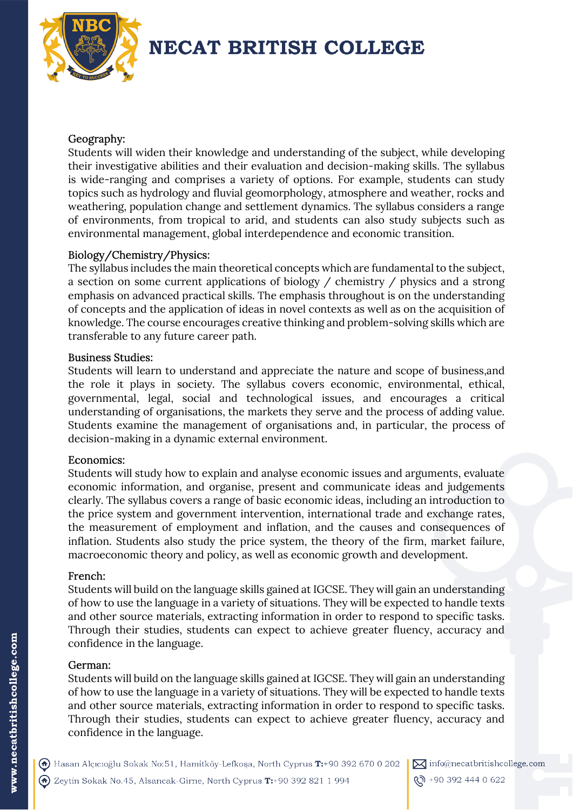

# **NECAT BRITISH COLLEGE**

# Geography:

Students will widen their knowledge and understanding of the subject, while developing their investigative abilities and their evaluation and decision-making skills. The syllabus is wide-ranging and comprises a variety of options. For example, students can study topics such as hydrology and fluvial geomorphology, atmosphere and weather, rocks and weathering, population change and settlement dynamics. The syllabus considers a range of environments, from tropical to arid, and students can also study subjects such as environmental management, global interdependence and economic transition.

# Biology/Chemistry/Physics:

The syllabus includes the main theoretical concepts which are fundamental to the subject, a section on some current applications of biology / chemistry / physics and a strong emphasis on advanced practical skills. The emphasis throughout is on the understanding of concepts and the application of ideas in novel contexts as well as on the acquisition of knowledge. The course encourages creative thinking and problem-solving skills which are transferable to any future career path.

# Business Studies:

Students will learn to understand and appreciate the nature and scope of business,and the role it plays in society. The syllabus covers economic, environmental, ethical, governmental, legal, social and technological issues, and encourages a critical understanding of organisations, the markets they serve and the process of adding value. Students examine the management of organisations and, in particular, the process of decision-making in a dynamic external environment.

# Economics:

Students will study how to explain and analyse economic issues and arguments, evaluate economic information, and organise, present and communicate ideas and judgements clearly. The syllabus covers a range of basic economic ideas, including an introduction to the price system and government intervention, international trade and exchange rates, the measurement of employment and inflation, and the causes and consequences of inflation. Students also study the price system, the theory of the firm, market failure, macroeconomic theory and policy, as well as economic growth and development.

# French:

Students will build on the language skills gained at IGCSE. They will gain an understanding of how to use the language in a variety of situations. They will be expected to handle texts and other source materials, extracting information in order to respond to specific tasks. Through their studies, students can expect to achieve greater fluency, accuracy and confidence in the language.

# German:

Students will build on the language skills gained at IGCSE. They will gain an understanding of how to use the language in a variety of situations. They will be expected to handle texts and other source materials, extracting information in order to respond to specific tasks. Through their studies, students can expect to achieve greater fluency, accuracy and confidence in the language.